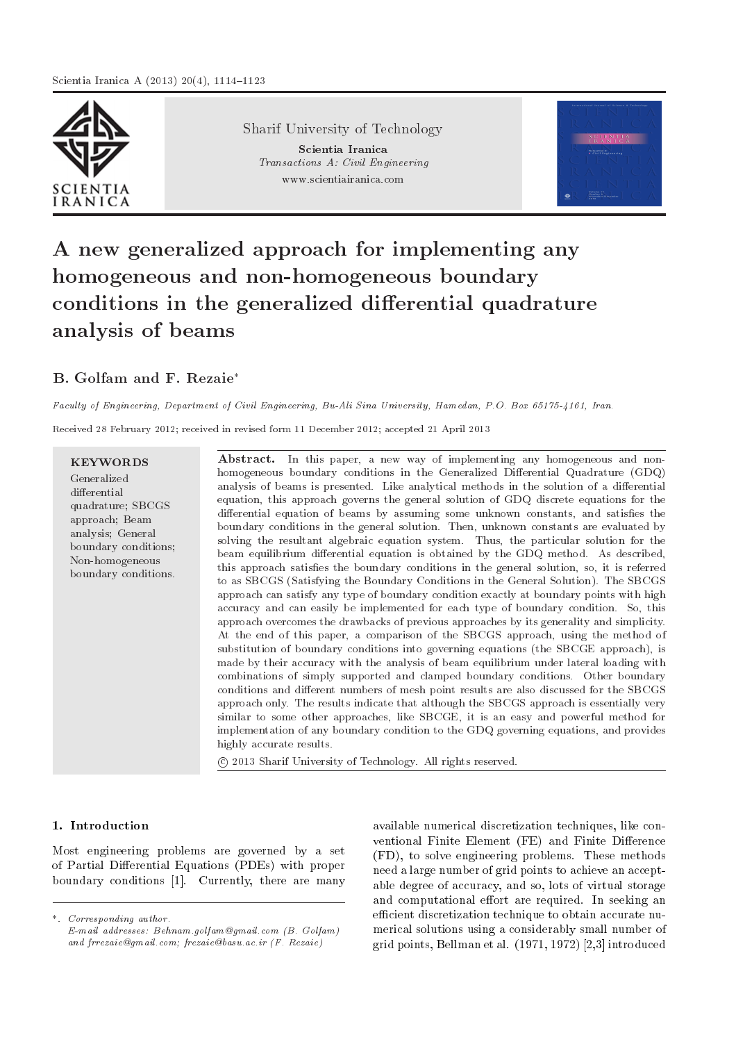

Sharif University of Technology Scientia Iranica Transactions A: Civil Engineering www.scientiairanica.com



# A new generalized approach for implementing any homogeneous and non-homogeneous boundary conditions in the generalized differential quadrature analysis of beams

# B. Golfam and F. Rezaie

Faculty of Engineering, Department of Civil Engineering, Bu-Ali Sina University, Hamedan, P.O. Box 65175-4161, Iran.

Received 28 February 2012; received in revised form 11 December 2012; accepted 21 April 2013

# KEYWORDS

Generalized differential quadrature; SBCGS approach; Beam analysis; General boundary conditions; Non-homogeneous boundary conditions.

Abstract. In this paper, a new way of implementing any homogeneous and nonhomogeneous boundary conditions in the Generalized Differential Quadrature (GDQ) analysis of beams is presented. Like analytical methods in the solution of a differential equation, this approach governs the general solution of GDQ discrete equations for the differential equation of beams by assuming some unknown constants, and satisfies the boundary conditions in the general solution. Then, unknown constants are evaluated by solving the resultant algebraic equation system. Thus, the particular solution for the beam equilibrium differential equation is obtained by the GDQ method. As described, this approach satisfies the boundary conditions in the general solution, so, it is referred to as SBCGS (Satisfying the Boundary Conditions in the General Solution). The SBCGS approach can satisfy any type of boundary condition exactly at boundary points with high accuracy and can easily be implemented for each type of boundary condition. So, this approach overcomes the drawbacks of previous approaches by its generality and simplicity. At the end of this paper, a comparison of the SBCGS approach, using the method of substitution of boundary conditions into governing equations (the SBCGE approach), is made by their accuracy with the analysis of beam equilibrium under lateral loading with combinations of simply supported and clamped boundary conditions. Other boundary conditions and different numbers of mesh point results are also discussed for the SBCGS approach only. The results indicate that although the SBCGS approach is essentially very similar to some other approaches, like SBCGE, it is an easy and powerful method for implementation of any boundary condition to the GDQ governing equations, and provides highly accurate results.

c 2013 Sharif University of Technology. All rights reserved.

# 1. Introduction

Most engineering problems are governed by a set of Partial Differential Equations (PDEs) with proper boundary conditions [1]. Currently, there are many

\*. Corresponding author. E-mail addresses: Behnam.golfam@gmail.com (B. Golfam) and frrezaie@gmail.com; frezaie@basu.ac.ir (F. Rezaie)

available numerical discretization techniques, like conventional Finite Element (FE) and Finite Difference (FD), to solve engineering problems. These methods need a large number of grid points to achieve an acceptable degree of accuracy, and so, lots of virtual storage and computational effort are required. In seeking an efficient discretization technique to obtain accurate numerical solutions using a considerably small number of grid points, Bellman et al. (1971, 1972) [2,3] introduced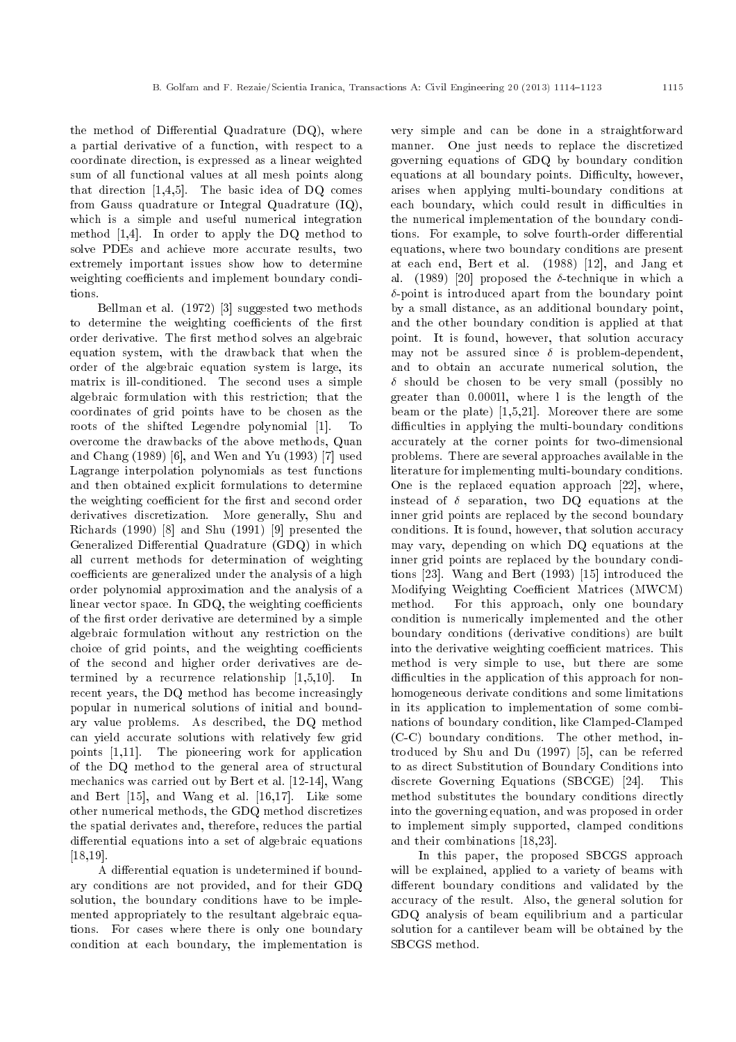the method of Differential Quadrature  $(DQ)$ , where a partial derivative of a function, with respect to a coordinate direction, is expressed as a linear weighted sum of all functional values at all mesh points along that direction [1,4,5]. The basic idea of DQ comes from Gauss quadrature or Integral Quadrature (IQ), which is a simple and useful numerical integration method [1,4]. In order to apply the DQ method to solve PDEs and achieve more accurate results, two extremely important issues show how to determine weighting coefficients and implement boundary conditions.

Bellman et al. (1972) [3] suggested two methods to determine the weighting coefficients of the first order derivative. The first method solves an algebraic equation system, with the drawback that when the order of the algebraic equation system is large, its matrix is ill-conditioned. The second uses a simple algebraic formulation with this restriction; that the coordinates of grid points have to be chosen as the roots of the shifted Legendre polynomial [1]. To overcome the drawbacks of the above methods, Quan and Chang (1989) [6], and Wen and Yu (1993) [7] used Lagrange interpolation polynomials as test functions and then obtained explicit formulations to determine the weighting coefficient for the first and second order derivatives discretization. More generally, Shu and Richards (1990) [8] and Shu (1991) [9] presented the Generalized Differential Quadrature (GDQ) in which all current methods for determination of weighting coefficients are generalized under the analysis of a high order polynomial approximation and the analysis of a linear vector space. In GDQ, the weighting coefficients of the first order derivative are determined by a simple algebraic formulation without any restriction on the choice of grid points, and the weighting coefficients of the second and higher order derivatives are determined by a recurrence relationship [1,5,10]. In recent years, the DQ method has become increasingly popular in numerical solutions of initial and boundary value problems. As described, the DQ method can yield accurate solutions with relatively few grid points [1,11]. The pioneering work for application of the DQ method to the general area of structural mechanics was carried out by Bert et al. [12-14], Wang and Bert [15], and Wang et al. [16,17]. Like some other numerical methods, the GDQ method discretizes the spatial derivates and, therefore, reduces the partial differential equations into a set of algebraic equations [18,19].

A differential equation is undetermined if boundary conditions are not provided, and for their GDQ solution, the boundary conditions have to be implemented appropriately to the resultant algebraic equations. For cases where there is only one boundary condition at each boundary, the implementation is very simple and can be done in a straightforward manner. One just needs to replace the discretized governing equations of GDQ by boundary condition equations at all boundary points. Difficulty, however, arises when applying multi-boundary conditions at each boundary, which could result in difficulties in the numerical implementation of the boundary conditions. For example, to solve fourth-order differential equations, where two boundary conditions are present at each end, Bert et al. (1988) [12], and Jang et al. (1989) [20] proposed the  $\delta$ -technique in which a  $\delta$ -point is introduced apart from the boundary point by a small distance, as an additional boundary point, and the other boundary condition is applied at that point. It is found, however, that solution accuracy may not be assured since  $\delta$  is problem-dependent, and to obtain an accurate numerical solution, the  $\delta$  should be chosen to be very small (possibly no greater than 0.0001l, where l is the length of the beam or the plate) [1,5,21]. Moreover there are some difficulties in applying the multi-boundary conditions accurately at the corner points for two-dimensional problems. There are several approaches available in the literature for implementing multi-boundary conditions. One is the replaced equation approach [22], where, instead of  $\delta$  separation, two DQ equations at the inner grid points are replaced by the second boundary conditions. It is found, however, that solution accuracy may vary, depending on which DQ equations at the inner grid points are replaced by the boundary conditions [23]. Wang and Bert (1993) [15] introduced the Modifying Weighting Coefficient Matrices (MWCM) method. For this approach, only one boundary condition is numerically implemented and the other boundary conditions (derivative conditions) are built into the derivative weighting coefficient matrices. This method is very simple to use, but there are some difficulties in the application of this approach for nonhomogeneous derivate conditions and some limitations in its application to implementation of some combinations of boundary condition, like Clamped-Clamped (C-C) boundary conditions. The other method, introduced by Shu and Du (1997) [5], can be referred to as direct Substitution of Boundary Conditions into discrete Governing Equations (SBCGE) [24]. This method substitutes the boundary conditions directly into the governing equation, and was proposed in order to implement simply supported, clamped conditions and their combinations [18,23].

In this paper, the proposed SBCGS approach will be explained, applied to a variety of beams with different boundary conditions and validated by the accuracy of the result. Also, the general solution for GDQ analysis of beam equilibrium and a particular solution for a cantilever beam will be obtained by the SBCGS method.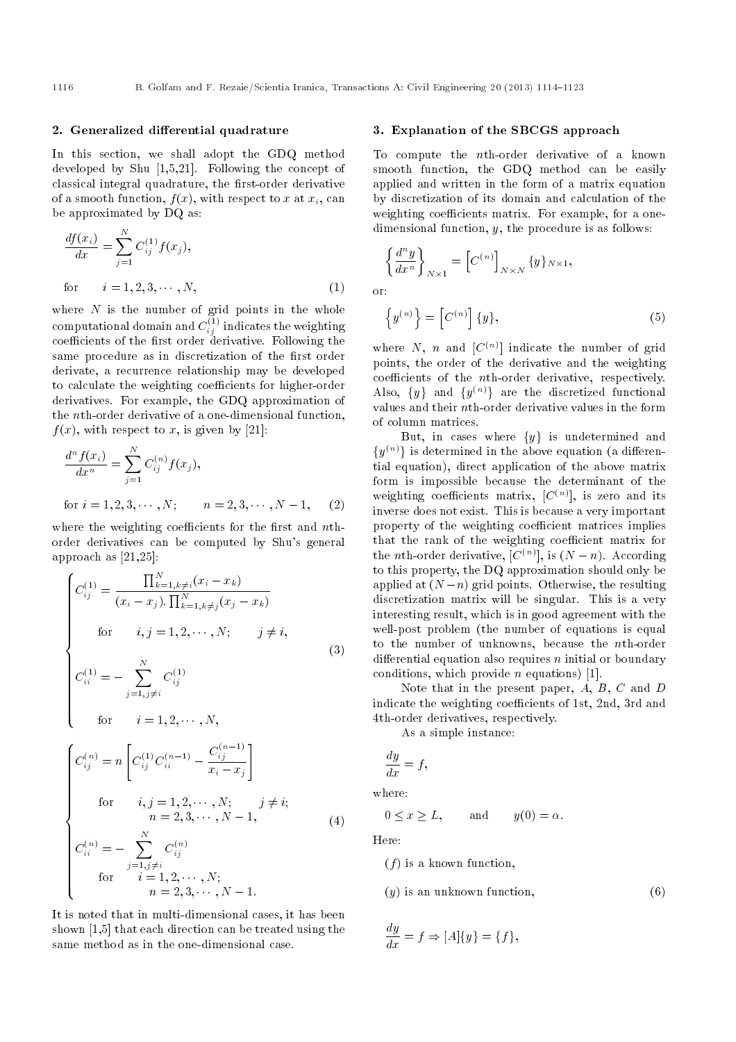#### 2. Generalized differential quadrature

In this section, we shall adopt the GDQ method developed by Shu [1,5,21]. Following the concept of classical integral quadrature, the first-order derivative of a smooth function,  $f(x)$ , with respect to x at  $x_i$ , can be approximated by DQ as:

$$
\frac{df(x_i)}{dx} = \sum_{j=1}^{N} C_{ij}^{(1)} f(x_j),
$$
  
for  $i = 1, 2, 3, \dots, N,$  (1)

where  $N$  is the number of grid points in the whole computational domain and  $C_{ij}^{(1)}$  indicates the weighting coefficients of the first order derivative. Following the same procedure as in discretization of the first order derivate, a recurrence relationship may be developed to calculate the weighting coefficients for higher-order derivatives. For example, the GDQ approximation of the nth-order derivative of a one-dimensional function,  $f(x)$ , with respect to x, is given by [21]:

$$
\frac{d^n f(x_i)}{dx^n} = \sum_{j=1}^N C_{ij}^{(n)} f(x_j),
$$
  
for  $i = 1, 2, 3, \dots, N$ ;  $n = 2, 3, \dots, N - 1,$  (2)

where the weighting coefficients for the first and  $n$ <sup>th-</sup> order derivatives can be computed by Shu's general approach as [21,25]:

$$
\begin{cases}\nC_{ij}^{(1)} = \frac{\prod_{k=1, k\neq i}^{N}(x_i - x_k)}{(x_i - x_j) \cdot \prod_{k=1, k\neq j}^{N}(x_j - x_k)} \\
\text{for} \quad i, j = 1, 2, \cdots, N; \quad j \neq i, \\
C_{ii}^{(1)} = -\sum_{j=1, j\neq i}^{N} C_{ij}^{(1)} \\
\text{for} \quad i = 1, 2, \cdots, N,\n\end{cases} \tag{3}
$$

$$
\begin{cases}\nC_{ij}^{(n)} = n \left[ C_{ij}^{(1)} C_{ii}^{(n-1)} - \frac{C_{ij}^{(n-1)}}{x_i - x_j} \right] \\
\text{for} \quad i, j = 1, 2, \cdots, N; \quad j \neq i; \\
n = 2, 3, \cdots, N - 1, \\
C_{ii}^{(n)} = - \sum_{j=1, j \neq i}^{N} C_{ij}^{(n)} \\
\text{for} \quad i = 1, 2, \cdots, N; \\
n = 2, 3, \cdots, N - 1.\n\end{cases} (4)
$$

It is noted that in multi-dimensional cases, it has been shown [1,5] that each direction can be treated using the same method as in the one-dimensional case.

#### 3. Explanation of the SBCGS approach

To compute the nth-order derivative of a known smooth function, the GDQ method can be easily applied and written in the form of a matrix equation by discretization of its domain and calculation of the weighting coefficients matrix. For example, for a onedimensional function,  $y$ , the procedure is as follows:

or:

 $\int d^n y$  $dx^n$ -1

 $N \times 1$ 

 $=$  $[C^{(n)}]$ 

$$
\left\{y^{(n)}\right\} = \left[C^{(n)}\right] \{y\},\tag{5}
$$

 $N\times N$   $\{y\}_{N\times 1}$ ,

where N, n and  $[C^{(n)}]$  indicate the number of grid points, the order of the derivative and the weighting  $coefficients$  of the *n*th-order derivative, respectively. Also,  $\{y\}$  and  $\{y^{(n)}\}$  are the discretized functional values and their nth-order derivative values in the form of column matrices.

But, in cases where  $\{y\}$  is undetermined and  $\{y^{(n)}\}$  is determined in the above equation (a differential equation), direct application of the above matrix form is impossible because the determinant of the weighting coefficients matrix,  $[C^{(n)}]$ , is zero and its inverse does not exist. This is because a very important property of the weighting coefficient matrices implies that the rank of the weighting coefficient matrix for the *n*th-order derivative,  $[C^{(n)}]$ , is  $(N - n)$ . According to this property, the DQ approximation should only be applied at  $(N-n)$  grid points. Otherwise, the resulting discretization matrix will be singular. This is a very interesting result, which is in good agreement with the well-post problem (the number of equations is equal to the number of unknowns, because the nth-order differential equation also requires  $n$  initial or boundary conditions, which provide  $n$  equations) [1].

Note that in the present paper, A, B, C and D indicate the weighting coefficients of 1st, 2nd, 3rd and 4th-order derivatives, respectively.

As a simple instance:

$$
\frac{dy}{dx} = f,
$$

where:

 $0 \le x \ge L$ , and  $y(0) = \alpha$ .

Here:

 $(f)$  is a known function,

 $(y)$  is an unknown function,  $(6)$ 

$$
\frac{dy}{dx} = f \Rightarrow [A] \{y\} = \{f\},\
$$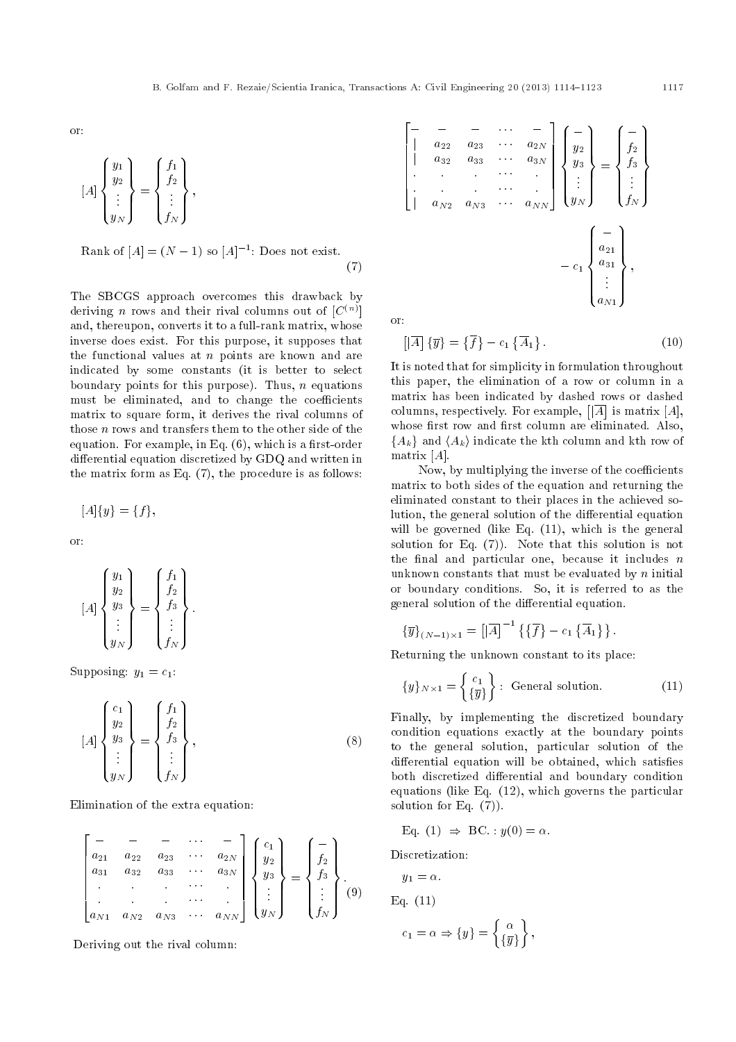or:

$$
[A] \begin{Bmatrix} y_1 \\ y_2 \\ \vdots \\ y_N \end{Bmatrix} = \begin{Bmatrix} f_1 \\ f_2 \\ \vdots \\ f_N \end{Bmatrix},
$$

Rank of  $[A] = (N - 1)$  so  $[A]^{-1}$ : Does not exist. (7)

The SBCGS approach overcomes this drawback by deriving  $n$  rows and their rival columns out of  $[C^{(n)}]$ and, thereupon, converts it to a full-rank matrix, whose inverse does exist. For this purpose, it supposes that the functional values at  $n$  points are known and are indicated by some constants (it is better to select boundary points for this purpose). Thus,  $n$  equations must be eliminated, and to change the coefficients matrix to square form, it derives the rival columns of those  $n$  rows and transfers them to the other side of the equation. For example, in Eq.  $(6)$ , which is a first-order differential equation discretized by GDQ and written in the matrix form as Eq. (7), the procedure is as follows:

$$
[A]{y} = {f},
$$

or:

$$
[A] \begin{Bmatrix} y_1 \\ y_2 \\ y_3 \\ \vdots \\ y_N \end{Bmatrix} = \begin{Bmatrix} f_1 \\ f_2 \\ f_3 \\ \vdots \\ f_N \end{Bmatrix}.
$$

Supposing:  $y_1 = c_1$ :

$$
[A] \begin{Bmatrix} c_1 \\ y_2 \\ y_3 \\ \vdots \\ y_N \end{Bmatrix} = \begin{Bmatrix} f_1 \\ f_2 \\ f_3 \\ \vdots \\ f_N \end{Bmatrix}, \qquad (8)
$$

Elimination of the extra equation:

$$
\begin{bmatrix}\n- & - & - & \cdots & - \\
a_{21} & a_{22} & a_{23} & \cdots & a_{2N} \\
a_{31} & a_{32} & a_{33} & \cdots & a_{3N} \\
\vdots & \vdots & \ddots & \vdots \\
a_{N1} & a_{N2} & a_{N3} & \cdots & a_{NN}\n\end{bmatrix}\n\begin{bmatrix}\nc_1 \\
y_2 \\
y_3 \\
\vdots \\
y_N\n\end{bmatrix}\n=\n\begin{bmatrix}\n- \\
f_2 \\
f_3 \\
\vdots \\
f_N\n\end{bmatrix}.\n(9)
$$

Deriving out the rival column:

| $\boldsymbol{a}_{22}$<br>$a_{32}$<br>$a_{N2}$ | $a_{23}$<br>$a_{33}$<br>$\bullet$<br>$a_{N3}$ | $\begin{pmatrix}\n\cdots & - \\ \cdots & a_{2N} \\ \cdots & a_{3N} \\ \cdots & \cdots \\ \cdots & a_{NN}\n\end{pmatrix}\n\begin{pmatrix}\n\cdots \\ y_2 \\ y_3 \\ \vdots \\ y_N\n\end{pmatrix}\n=\n\begin{pmatrix}\n\cdots \\ f_2 \\ f_3 \\ \vdots \\ f_N\n\end{pmatrix}$ |                                                                                      |
|-----------------------------------------------|-----------------------------------------------|---------------------------------------------------------------------------------------------------------------------------------------------------------------------------------------------------------------------------------------------------------------------------|--------------------------------------------------------------------------------------|
|                                               |                                               |                                                                                                                                                                                                                                                                           | $-c_1$ $\begin{pmatrix} - \\ a_{21} \\ a_{31} \\ \vdots \end{pmatrix}$ ,<br>$a_{N1}$ |

or:

$$
\left[\left|\overline{A}\right]\left\{\overline{y}\right\} = \left\{\overline{f}\right\} - c_1 \left\{\overline{A}_1\right\}.
$$
\n(10)

It is noted that for simplicity in formulation throughout this paper, the elimination of a row or column in a matrix has been indicated by dashed rows or dashed columns, respectively. For example,  $\left[\overline{A}\right]$  is matrix  $[A],$ whose first row and first column are eliminated. Also,  ${A_k}$  and  ${A_k}$  indicate the kth column and kth row of matrix  $[A]$ .

Now, by multiplying the inverse of the coefficients matrix to both sides of the equation and returning the eliminated constant to their places in the achieved solution, the general solution of the differential equation will be governed (like Eq.  $(11)$ , which is the general solution for Eq. (7)). Note that this solution is not the final and particular one, because it includes  $n$ unknown constants that must be evaluated by  $n$  initial or boundary conditions. So, it is referred to as the general solution of the differential equation.

$$
\{\overline{y}\}_{(N-1)\times 1} = [\overline{A}]^{-1} \{ \{\overline{f}\} - c_1 \{\overline{A}_1\} \}.
$$

Returning the unknown constant to its place:

$$
\{y\}_{N\times 1} = \left\{ \frac{c_1}{\{\overline{y}\}} \right\} : \text{ General solution.} \tag{11}
$$

Finally, by implementing the discretized boundary condition equations exactly at the boundary points to the general solution, particular solution of the differential equation will be obtained, which satisfies both discretized differential and boundary condition equations (like Eq. (12), which governs the particular solution for Eq. (7)).

 $\}$ ,

Eq. (1) 
$$
\Rightarrow
$$
 BC. :  $y(0) = \alpha$ .

Discretization:

$$
y_1 = \alpha.
$$
  
Eq. (11)  

$$
c_1 = \alpha \Rightarrow \{y\} = \begin{cases} \alpha \\ \{\overline{y}\}\end{cases}
$$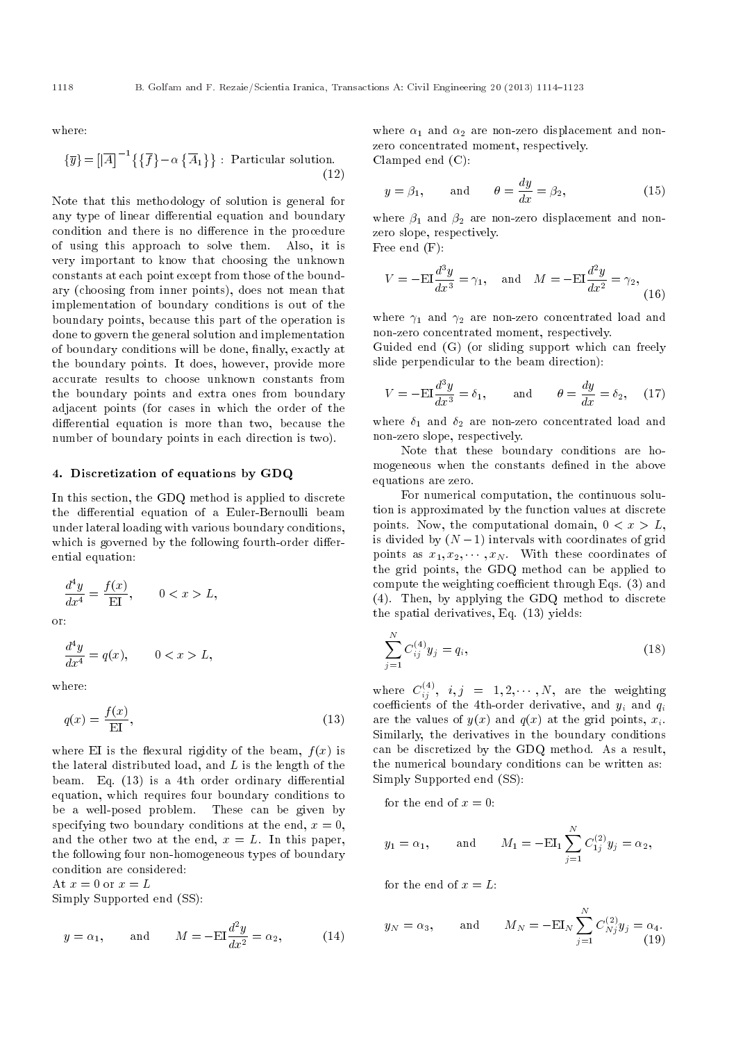where:

$$
\{\overline{y}\} = \left[\left|\overline{A}\right|^{-1} \left\{\left\{\overline{f}\right\} - \alpha \left\{\overline{A}_1\right\}\right\} : \text{ Particular solution.} \right]
$$
\n(12)

Note that this methodology of solution is general for any type of linear differential equation and boundary condition and there is no difference in the procedure of using this approach to solve them. Also, it is very important to know that choosing the unknown constants at each point except from those of the boundary (choosing from inner points), does not mean that implementation of boundary conditions is out of the boundary points, because this part of the operation is done to govern the general solution and implementation of boundary conditions will be done, finally, exactly at the boundary points. It does, however, provide more accurate results to choose unknown constants from the boundary points and extra ones from boundary adjacent points (for cases in which the order of the differential equation is more than two, because the number of boundary points in each direction is two).

### 4. Discretization of equations by GDQ

In this section, the GDQ method is applied to discrete the differential equation of a Euler-Bernoulli beam under lateral loading with various boundary conditions, which is governed by the following fourth-order differential equation:

$$
\frac{d^4y}{dx^4} = \frac{f(x)}{\text{EI}}, \qquad 0 < x > L,
$$

or:

$$
\frac{d^4y}{dx^4} = q(x), \qquad 0 < x > L,
$$

where:

$$
q(x) = \frac{f(x)}{\mathrm{EI}},\tag{13}
$$

where EI is the flexural rigidity of the beam,  $f(x)$  is the lateral distributed load, and  $L$  is the length of the beam. Eq.  $(13)$  is a 4th order ordinary differential equation, which requires four boundary conditions to be a well-posed problem. These can be given by specifying two boundary conditions at the end,  $x = 0$ , and the other two at the end,  $x = L$ . In this paper, the following four non-homogeneous types of boundary condition are considered:

At  $x = 0$  or  $x = L$ 

Simply Supported end (SS):

$$
y = \alpha_1
$$
, and  $M = -EI \frac{d^2 y}{dx^2} = \alpha_2$ , (14)

where  $\alpha_1$  and  $\alpha_2$  are non-zero displacement and nonzero concentrated moment, respectively. Clamped end (C):

$$
y = \beta_1
$$
, and  $\theta = \frac{dy}{dx} = \beta_2$ , (15)

where  $\beta_1$  and  $\beta_2$  are non-zero displacement and nonzero slope, respectively.

Free end (F):

$$
V = -\mathrm{EI}\frac{d^3y}{dx^3} = \gamma_1, \quad \text{and} \quad M = -\mathrm{EI}\frac{d^2y}{dx^2} = \gamma_2,
$$
 (16)

where  $\gamma_1$  and  $\gamma_2$  are non-zero concentrated load and non-zero concentrated moment, respectively.

Guided end (G) (or sliding support which can freely slide perpendicular to the beam direction):

$$
V = -\mathrm{EI}\frac{d^3y}{dx^3} = \delta_1, \quad \text{and} \quad \theta = \frac{dy}{dx} = \delta_2, \quad (17)
$$

where  $\delta_1$  and  $\delta_2$  are non-zero concentrated load and non-zero slope, respectively.

Note that these boundary conditions are homogeneous when the constants defined in the above equations are zero.

For numerical computation, the continuous solution is approximated by the function values at discrete points. Now, the computational domain,  $0 < x > L$ , is divided by  $(N - 1)$  intervals with coordinates of grid points as  $x_1, x_2, \cdots, x_N$ . With these coordinates of the grid points, the GDQ method can be applied to compute the weighting coefficient through Eqs. (3) and (4). Then, by applying the GDQ method to discrete the spatial derivatives, Eq. (13) yields:

$$
\sum_{j=1}^{N} C_{ij}^{(4)} y_j = q_i,
$$
\n(18)

where  $C^{(4)}_{ij}, \ \ i,j \ \ = \ \ 1,2,\cdots,N, \ \ \mathrm{are \ \ the \ \ weighting}$ coefficients of the 4th-order derivative, and  $y_i$  and  $q_i$ are the values of  $y(x)$  and  $q(x)$  at the grid points,  $x_i$ . Similarly, the derivatives in the boundary conditions can be discretized by the GDQ method. As a result, the numerical boundary conditions can be written as: Simply Supported end (SS):

for the end of  $x = 0$ :

$$
y_1 = \alpha_1
$$
, and  $M_1 = -\mathbf{E}\mathbf{I}_1 \sum_{j=1}^N C_{1j}^{(2)} y_j = \alpha_2$ ,

for the end of  $x = L$ :

$$
y_N = \alpha_3
$$
, and  $M_N = -EI_N \sum_{j=1}^N C_{Nj}^{(2)} y_j = \alpha_4$ . (19)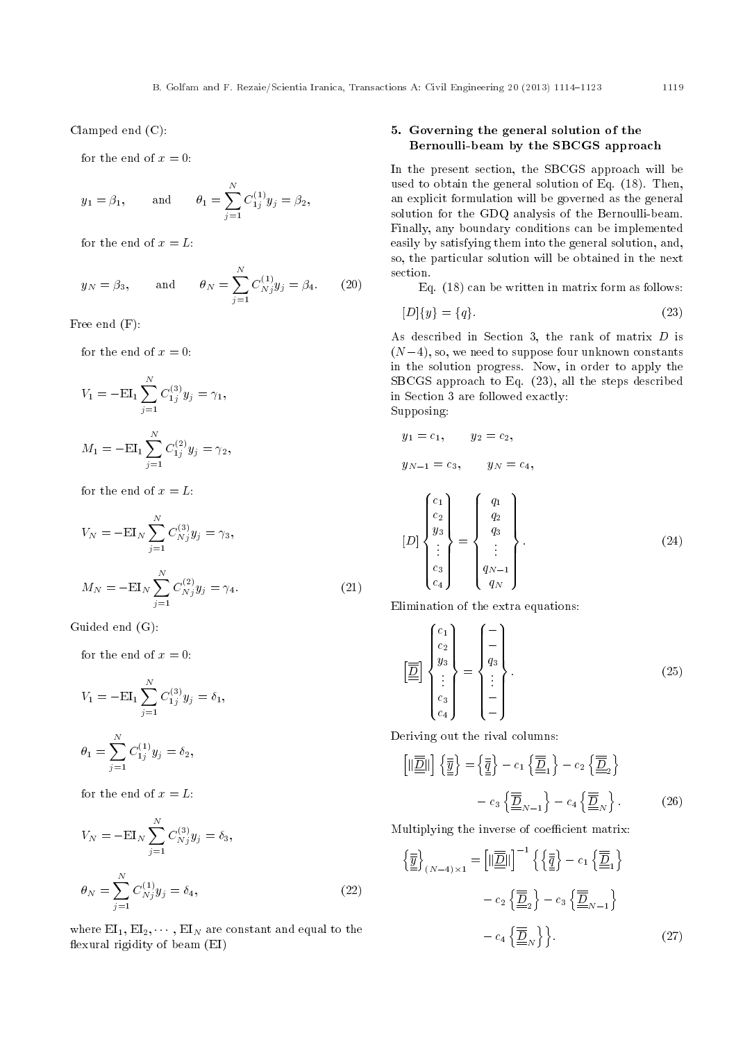Clamped end (C):

for the end of  $x = 0$ :

$$
y_1 = \beta_1
$$
, and  $\theta_1 = \sum_{j=1}^N C_{1j}^{(1)} y_j = \beta_2$ ,

for the end of  $x = L$ :

$$
y_N = \beta_3
$$
, and  $\theta_N = \sum_{j=1}^N C_{Nj}^{(1)} y_j = \beta_4$ . (20)

Free end (F):

for the end of  $x = 0$ :

$$
V_1 = -\mathbf{E}\mathbf{I}_1 \sum_{j=1}^N C_{1j}^{(3)} y_j = \gamma_1,
$$
  

$$
M_1 = -\mathbf{E}\mathbf{I}_1 \sum_{j=1}^N C_{1j}^{(2)} y_j = \gamma_2,
$$

for the end of  $x = L$ :

$$
V_N = -EI_N \sum_{j=1}^{N} C_{Nj}^{(3)} y_j = \gamma_3,
$$
  

$$
M_N = -EI_N \sum_{j=1}^{N} C_{Nj}^{(2)} y_j = \gamma_4.
$$
 (21)

Guided end (G):

for the end of  $x = 0$ :

$$
V_1 = -EL_1 \sum_{j=1}^{N} C_{1j}^{(3)} y_j = \delta_1,
$$
  

$$
\theta_1 = \sum_{j=1}^{N} C_{1j}^{(1)} y_j = \delta_2,
$$

for the end of  $x = L$ :

$$
V_N = -EI_N \sum_{j=1}^N C_{N_j}^{(3)} y_j = \delta_3,
$$
  

$$
\theta_N = \sum_{j=1}^N C_{N_j}^{(1)} y_j = \delta_4,
$$
 (22)

where  $EI_1, EI_2, \cdots, EI_N$  are constant and equal to the flexural rigidity of beam (EI)

# 5. Governing the general solution of the Bernoulli-beam by the SBCGS approach

In the present section, the SBCGS approach will be used to obtain the general solution of Eq. (18). Then, an explicit formulation will be governed as the general solution for the GDQ analysis of the Bernoulli-beam. Finally, any boundary conditions can be implemented easily by satisfying them into the general solution, and, so, the particular solution will be obtained in the next section.

Eq. (18) can be written in matrix form as follows:

$$
[D]{y} = {q}. \t(23)
$$

As described in Section 3, the rank of matrix D is  $(N-4)$ , so, we need to suppose four unknown constants in the solution progress. Now, in order to apply the SBCGS approach to Eq. (23), all the steps described in Section 3 are followed exactly: Supposing:

$$
y_1=c_1, \qquad y_2=c_2,
$$

$$
y_{N-1} = c_3
$$
,  $y_N = c_4$ ,

$$
[D] \begin{Bmatrix} c_1 \\ c_2 \\ y_3 \\ \vdots \\ c_3 \\ c_4 \end{Bmatrix} = \begin{Bmatrix} q_1 \\ q_2 \\ q_3 \\ \vdots \\ q_N - 1 \\ q_N \end{Bmatrix} .
$$
 (24)

Elimination of the extra equations:

$$
\begin{bmatrix} \boxed{2} \\ \boxed{2} \\ \boxed{3} \\ \vdots \\ \boxed{c_3} \\ c_4 \end{bmatrix} = \begin{Bmatrix} - \\ - \\ - \\ 1 \\ \vdots \\ - \end{Bmatrix}.
$$
 (25)

Deriving out the rival columns:

$$
\left[\|\overline{\underline{\underline{D}}}||\right] \left\{\overline{\underline{\underline{y}}}\right\} = \left\{\overline{\underline{\underline{q}}}\right\} - c_1 \left\{\overline{\underline{\underline{D}}}_1\right\} - c_2 \left\{\overline{\underline{\underline{D}}}_2\right\}
$$

$$
- c_3 \left\{\overline{\underline{\underline{D}}}_{N-1}\right\} - c_4 \left\{\overline{\underline{\underline{D}}}_{N}\right\}.
$$
 (26)

Multiplying the inverse of coefficient matrix:

$$
\left\{\frac{\overline{y}}{\underline{y}}\right\}_{(N-4)\times 1} = \left[\|\underline{\overline{\underline{D}}}\|\right]^{-1} \left\{\left\{\frac{\overline{y}}{\underline{z}}\right\} - c_1 \left\{\underline{\overline{\underline{D}}}_1\right\} - c_2 \left\{\underline{\overline{\underline{D}}}_2\right\} - c_3 \left\{\underline{\overline{\underline{D}}}_{N-1}\right\} - c_4 \left\{\underline{\overline{\underline{D}}}_{N}\right\}\right\}.
$$
\n(27)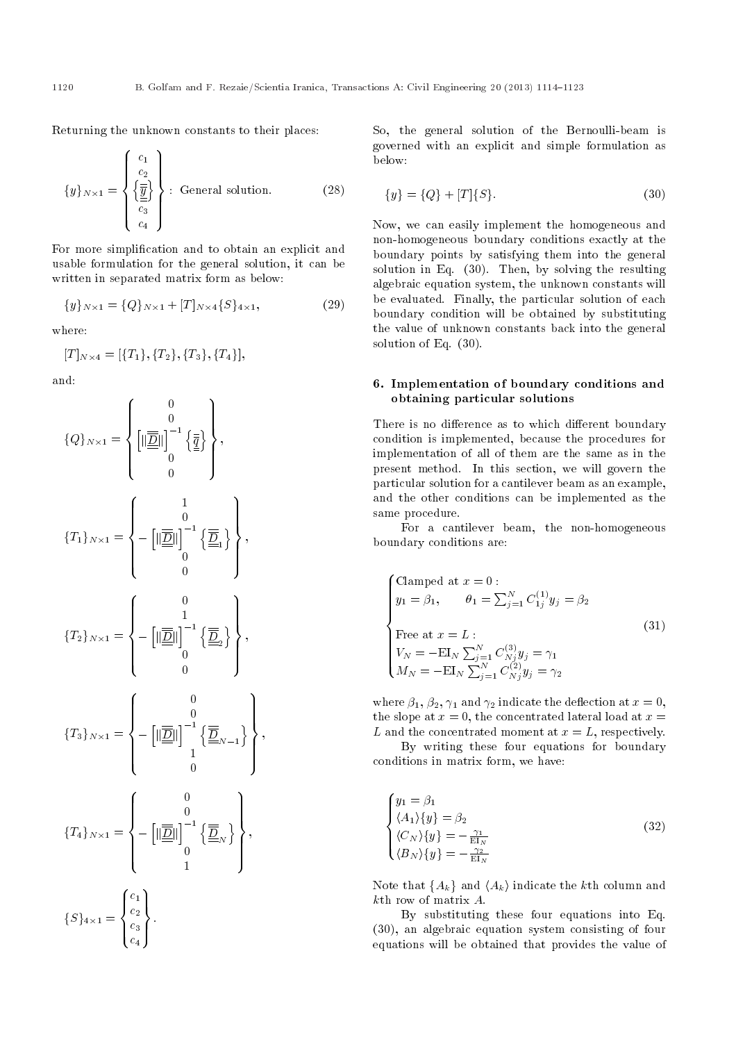Returning the unknown constants to their places:

$$
\{y\}_{N\times 1} = \begin{Bmatrix} c_1 \\ c_2 \\ \left\{ \frac{\overline{y}}{\underline{y}} \right\} \\ c_3 \\ c_4 \end{Bmatrix}.
$$
 General solution. (28)

For more simplication and to obtain an explicit and usable formulation for the general solution, it can be written in separated matrix form as below:

$$
\{y\}_{N\times 1} = \{Q\}_{N\times 1} + [T]_{N\times 4} \{S\}_{4\times 1},\tag{29}
$$

where:

$$
[T]_{N\times 4}=[\{T_1\},\{T_2\},\{T_3\},\{T_4\}],
$$

and:

$$
\begin{aligned}\n\{Q\}_{N\times 1} &= \begin{Bmatrix} 0 \\ 0 \\ 0 \\ 0 \\ 0 \end{Bmatrix}, \\
\{T_1\}_{N\times 1} &= \begin{Bmatrix} 0 \\ 0 \\ 0 \\ 0 \\ 0 \end{Bmatrix}^{-1} \left\{ \frac{1}{\underline{\underline{D}}} \right\}, \\
\{T_2\}_{N\times 1} &= \begin{Bmatrix} 1 \\ 0 \\ -\left[ \|\frac{1}{\underline{\underline{D}}} \|\right]^{-1} \left\{ \frac{1}{\underline{\underline{D}}} \right\} \\ 0 \\ 0 \\ 0 \end{Bmatrix}, \\
\{T_3\}_{N\times 1} &= \begin{Bmatrix} 0 \\ 0 \\ -\left[ \|\frac{1}{\underline{\underline{D}}} \|\right]^{-1} \left\{ \frac{1}{\underline{\underline{D}}} \right\} \\ 0 \\ 1 \\ 0 \\ 0 \end{Bmatrix}, \\
\{T_4\}_{N\times 1} &= \begin{Bmatrix} 0 \\ 0 \\ -\left[ \|\frac{1}{\underline{\underline{D}}} \|\right]^{-1} \left\{ \frac{1}{\underline{\underline{D}}} \right\} \\ 0 \\ 0 \\ 1 \end{Bmatrix}, \\
\{S\}_{4\times 1} &= \begin{Bmatrix} c_1 \\ c_2 \\ c_3 \\ c_4 \end{Bmatrix}.\n\end{aligned}
$$

So, the general solution of the Bernoulli-beam is governed with an explicit and simple formulation as below:

$$
\{y\} = \{Q\} + [T]\{S\}.
$$
\n(30)

Now, we can easily implement the homogeneous and non-homogeneous boundary conditions exactly at the boundary points by satisfying them into the general solution in Eq. (30). Then, by solving the resulting algebraic equation system, the unknown constants will be evaluated. Finally, the particular solution of each boundary condition will be obtained by substituting the value of unknown constants back into the general solution of Eq. (30).

# 6. Implementation of boundary conditions and obtaining particular solutions

There is no difference as to which different boundary condition is implemented, because the procedures for implementation of all of them are the same as in the present method. In this section, we will govern the particular solution for a cantilever beam as an example, and the other conditions can be implemented as the same procedure.

For a cantilever beam, the non-homogeneous boundary conditions are:

$$
\begin{cases}\n\text{Clamped at } x = 0: \\
y_1 = \beta_1, \qquad \theta_1 = \sum_{j=1}^N C_{1j}^{(1)} y_j = \beta_2 \\
\text{Free at } x = L: \\
V_N = -\text{EI}_N \sum_{j=1}^N C_{Nj}^{(3)} y_j = \gamma_1 \\
M_N = -\text{EI}_N \sum_{j=1}^N C_{Nj}^{(2)} y_j = \gamma_2\n\end{cases}
$$
\n(31)

where  $\beta_1$ ,  $\beta_2$ ,  $\gamma_1$  and  $\gamma_2$  indicate the deflection at  $x=0$ , the slope at  $x = 0$ , the concentrated lateral load at  $x =$ L and the concentrated moment at  $x = L$ , respectively.

By writing these four equations for boundary conditions in matrix form, we have:

$$
\begin{cases}\ny_1 = \beta_1 \\
\langle A_1 \rangle \{y\} = \beta_2 \\
\langle C_N \rangle \{y\} = -\frac{\gamma_1}{\operatorname{EI}_N} \\
\langle B_N \rangle \{y\} = -\frac{\gamma_2}{\operatorname{EI}_N}\n\end{cases}
$$
\n(32)

Note that  $\{A_k\}$  and  $\langle A_k \rangle$  indicate the kth column and kth row of matrix A.

By substituting these four equations into Eq. (30), an algebraic equation system consisting of four equations will be obtained that provides the value of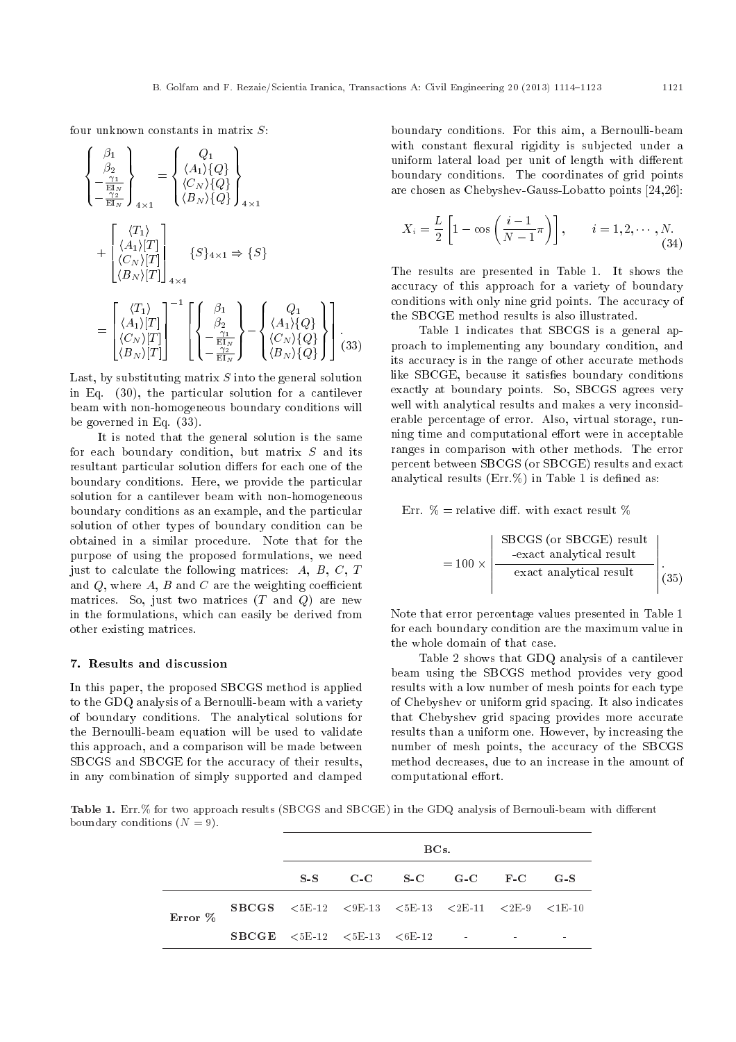four unknown constants in matrix  $S$ :

$$
\begin{cases}\n\begin{aligned}\n\beta_1 \\
\beta_2 \\
-\frac{\gamma_1}{\text{EI}_N} \\
-\frac{\gamma_2}{\text{EI}_N}\n\end{aligned}\n\end{cases} = \begin{cases}\nQ_1 \\
\langle A_1 \rangle \{Q\} \\
\langle C_N \rangle \{Q\} \\
\langle B_N \rangle \{Q\}\n\end{cases} \n_{4 \times 1}\n+\n\begin{bmatrix}\n\langle T_1 \rangle \\
\langle A_1 \rangle [T] \\
\langle B_N \rangle [T]\n\end{bmatrix} \n_{4 \times 4}\n\\
S_{4 \times 1} \Rightarrow \{S\}\n=\n\begin{bmatrix}\n\langle T_1 \rangle \\
\langle A_1 \rangle [T] \\
\langle C_N \rangle [T]\n\end{bmatrix}^{-1} \n\begin{bmatrix}\n\beta_1 \\
\beta_2 \\
\langle A_1 \rangle \{Q\} \\
\langle C_N \rangle [T]\n\end{bmatrix} - \begin{bmatrix}\nQ_1 \\
\langle A_1 \rangle \{Q\} \\
\langle C_N \rangle \{Q\} \\
\langle B_N \rangle [T]\n\end{bmatrix} . \n(33)
$$

Last, by substituting matrix  $S$  into the general solution in Eq. (30), the particular solution for a cantilever beam with non-homogeneous boundary conditions will be governed in Eq. (33).

It is noted that the general solution is the same for each boundary condition, but matrix S and its resultant particular solution differs for each one of the boundary conditions. Here, we provide the particular solution for a cantilever beam with non-homogeneous boundary conditions as an example, and the particular solution of other types of boundary condition can be obtained in a similar procedure. Note that for the purpose of using the proposed formulations, we need just to calculate the following matrices:  $A, B, C, T$ and  $Q$ , where  $A$ ,  $B$  and  $C$  are the weighting coefficient matrices. So, just two matrices  $(T \text{ and } Q)$  are new in the formulations, which can easily be derived from other existing matrices.

### 7. Results and discussion

In this paper, the proposed SBCGS method is applied to the GDQ analysis of a Bernoulli-beam with a variety of boundary conditions. The analytical solutions for the Bernoulli-beam equation will be used to validate this approach, and a comparison will be made between SBCGS and SBCGE for the accuracy of their results, in any combination of simply supported and clamped boundary conditions. For this aim, a Bernoulli-beam with constant flexural rigidity is subjected under a uniform lateral load per unit of length with different boundary conditions. The coordinates of grid points are chosen as Chebyshev-Gauss-Lobatto points [24,26]:

$$
X_i = \frac{L}{2} \left[ 1 - \cos \left( \frac{i-1}{N-1} \pi \right) \right], \qquad i = 1, 2, \cdots, N. \tag{34}
$$

The results are presented in Table 1. It shows the accuracy of this approach for a variety of boundary conditions with only nine grid points. The accuracy of the SBCGE method results is also illustrated.

Table 1 indicates that SBCGS is a general approach to implementing any boundary condition, and its accuracy is in the range of other accurate methods like SBCGE, because it satisfies boundary conditions exactly at boundary points. So, SBCGS agrees very well with analytical results and makes a very inconsiderable percentage of error. Also, virtual storage, running time and computational effort were in acceptable ranges in comparison with other methods. The error percent between SBCGS (or SBCGE) results and exact analytical results  $(Err \%)$  in Table 1 is defined as:

Err.  $\%$  = relative diff. with exact result  $\%$ 

$$
= 100 \times \left| \frac{\text{SBCGS (or SBCGE) result}}{\text{exact analytical result}} \right|_{(35)}
$$

Note that error percentage values presented in Table 1 for each boundary condition are the maximum value in the whole domain of that case.

Table 2 shows that GDQ analysis of a cantilever beam using the SBCGS method provides very good results with a low number of mesh points for each type of Chebyshev or uniform grid spacing. It also indicates that Chebyshev grid spacing provides more accurate results than a uniform one. However, by increasing the number of mesh points, the accuracy of the SBCGS method decreases, due to an increase in the amount of computational effort.

Table 1. Err.% for two approach results (SBCGS and SBCGE) in the GDQ analysis of Bernouli-beam with different boundary conditions  $(N = 9)$ .

|         |                                                                                                                                                        | BCs. |  |                         |  |  |  |
|---------|--------------------------------------------------------------------------------------------------------------------------------------------------------|------|--|-------------------------|--|--|--|
|         |                                                                                                                                                        |      |  | S-S C-C S-C G-C F-C G-S |  |  |  |
| Error % | <b>SBCGS</b> $\langle 5E12 \rangle$ $\langle 9E13 \rangle$ $\langle 5E13 \rangle$ $\langle 2E11 \rangle$ $\langle 2E19 \rangle$ $\langle 1E10 \rangle$ |      |  |                         |  |  |  |
|         | <b>SBCGE</b> $\langle 5E12 \rangle$ $\langle 5E13 \rangle$ $\langle 6E12 \rangle$ -                                                                    |      |  |                         |  |  |  |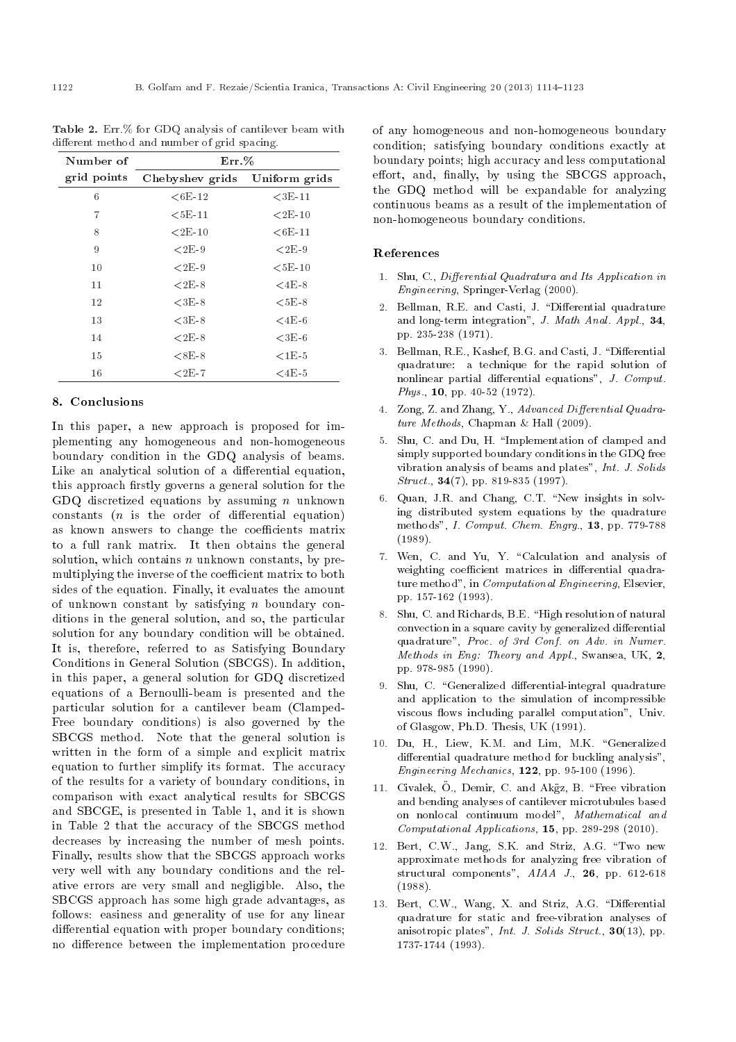| $Err. \%$       |               |  |  |  |
|-----------------|---------------|--|--|--|
| Chebyshev grids | Uniform grids |  |  |  |
| ${<}6E-12$      | $<$ 3E-11     |  |  |  |
| $<$ 5E-11       | ${<}2E-10$    |  |  |  |
| ${<}2E-10$      | $<$ 6E-11     |  |  |  |
| $2E-9$          | $2E-9$        |  |  |  |
| $2E-9$          | $5E-10$       |  |  |  |
| $2E-8$          | $<$ 4E-8      |  |  |  |
| $3E-8$          | $55E-8$       |  |  |  |
| $3E-8$          | $<$ 4 $E$ -6  |  |  |  |
| $2E-8$          | $<$ 3E-6      |  |  |  |
| $8\times8$ B-   | ${<}1E-5$     |  |  |  |
| ${<}2E-7$       | $<$ 4E-5      |  |  |  |
|                 |               |  |  |  |

Table 2. Err.% for GDQ analysis of cantilever beam with different method and number of grid spacing.

### 8. Conclusions

In this paper, a new approach is proposed for implementing any homogeneous and non-homogeneous boundary condition in the GDQ analysis of beams. Like an analytical solution of a differential equation, this approach firstly governs a general solution for the GDQ discretized equations by assuming  $n$  unknown constants  $(n$  is the order of differential equation) as known answers to change the coefficients matrix to a full rank matrix. It then obtains the general solution, which contains  $n$  unknown constants, by premultiplying the inverse of the coefficient matrix to both sides of the equation. Finally, it evaluates the amount of unknown constant by satisfying n boundary conditions in the general solution, and so, the particular solution for any boundary condition will be obtained. It is, therefore, referred to as Satisfying Boundary Conditions in General Solution (SBCGS). In addition, in this paper, a general solution for GDQ discretized equations of a Bernoulli-beam is presented and the particular solution for a cantilever beam (Clamped-Free boundary conditions) is also governed by the SBCGS method. Note that the general solution is written in the form of a simple and explicit matrix equation to further simplify its format. The accuracy of the results for a variety of boundary conditions, in comparison with exact analytical results for SBCGS and SBCGE, is presented in Table 1, and it is shown in Table 2 that the accuracy of the SBCGS method decreases by increasing the number of mesh points. Finally, results show that the SBCGS approach works very well with any boundary conditions and the relative errors are very small and negligible. Also, the SBCGS approach has some high grade advantages, as follows: easiness and generality of use for any linear differential equation with proper boundary conditions; no difference between the implementation procedure of any homogeneous and non-homogeneous boundary condition; satisfying boundary conditions exactly at boundary points; high accuracy and less computational effort, and, finally, by using the SBCGS approach, the GDQ method will be expandable for analyzing continuous beams as a result of the implementation of non-homogeneous boundary conditions.

# References

- 1. Shu, C., Differential Quadratura and Its Application in Engineering, Springer-Verlag (2000).
- 2. Bellman, R.E. and Casti, J. "Differential quadrature and long-term integration", J. Math Anal. Appl., 34, pp. 235-238 (1971).
- 3. Bellman, R.E., Kashef, B.G. and Casti, J. "Differential quadrature: a technique for the rapid solution of nonlinear partial differential equations",  $J.$  Comput. Phys., 10, pp. 40-52 (1972).
- 4. Zong, Z. and Zhang, Y., Advanced Differential Quadrature Methods, Chapman & Hall (2009).
- 5. Shu, C. and Du, H. \Implementation of clamped and simply supported boundary conditions in the GDQ free vibration analysis of beams and plates", Int. J. Solids Struct., **34**(7), pp. 819-835 (1997).
- 6. Quan, J.R. and Chang, C.T. "New insights in solving distributed system equations by the quadrature methods", I. Comput. Chem. Engrg., 13, pp. 779-788 (1989).
- 7. Wen, C. and Yu, Y. \Calculation and analysis of weighting coefficient matrices in differential quadrature method", in *Computational Engineering*, Elsevier, pp. 157-162 (1993).
- 8. Shu, C. and Richards, B.E. "High resolution of natural convection in a square cavity by generalized differential quadrature", Proc. of 3rd Conf. on Adv. in Numer. Methods in Eng: Theory and Appl., Swansea, UK, 2, pp. 978-985 (1990).
- 9. Shu, C. "Generalized differential-integral quadrature and application to the simulation of incompressible viscous flows including parallel computation", Univ. of Glasgow, Ph.D. Thesis, UK (1991).
- 10. Du, H., Liew, K.M. and Lim, M.K. "Generalized differential quadrature method for buckling analysis", Engineering Mechanics, 122, pp. 95-100 (1996).
- 11. Civalek, O., Demir, C. and Akgz, B. \Free vibration and bending analyses of cantilever microtubules based on nonlocal continuum model", Mathematical and Computational Applications, 15, pp. 289-298 (2010).
- 12. Bert, C.W., Jang, S.K. and Striz, A.G. \Two new approximate methods for analyzing free vibration of structural components", AIAA J., 26, pp. 612-618 (1988).
- 13. Bert, C.W., Wang, X. and Striz, A.G. "Differential quadrature for static and free-vibration analyses of anisotropic plates", Int. J. Solids Struct.,  $30(13)$ , pp. 1737-1744 (1993).